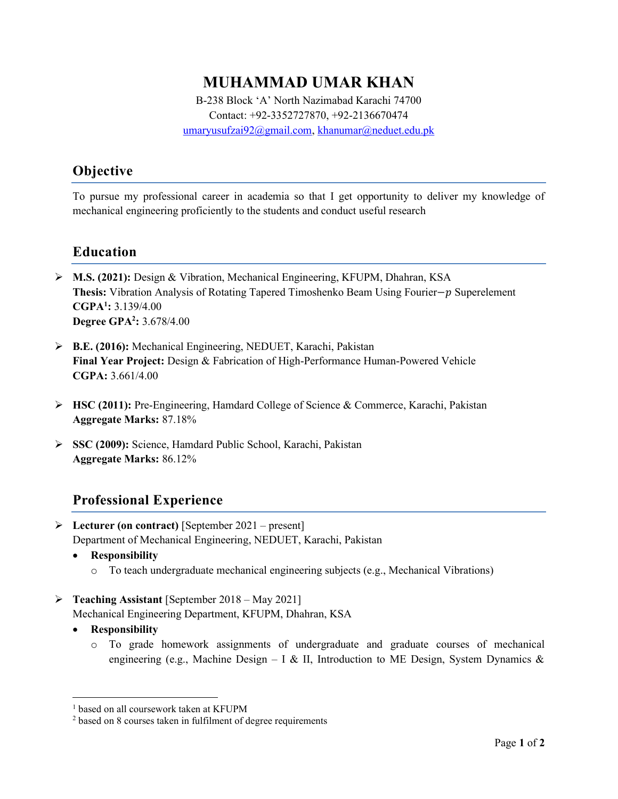# MUHAMMAD UMAR KHAN

B-238 Block 'A' North Nazimabad Karachi 74700 Contact: +92-3352727870, +92-2136670474 umaryusufzai92@gmail.com, khanumar@neduet.edu.pk

# Objective

To pursue my professional career in academia so that I get opportunity to deliver my knowledge of mechanical engineering proficiently to the students and conduct useful research

## Education

- M.S. (2021): Design & Vibration, Mechanical Engineering, KFUPM, Dhahran, KSA Thesis: Vibration Analysis of Rotating Tapered Timoshenko Beam Using Fourier−p Superelement  $CGPA<sup>1</sup>: 3.139/4.00$ **Degree GPA<sup>2</sup>:** 3.678/4.00
- B.E. (2016): Mechanical Engineering, NEDUET, Karachi, Pakistan Final Year Project: Design & Fabrication of High-Performance Human-Powered Vehicle CGPA: 3.661/4.00
- HSC (2011): Pre-Engineering, Hamdard College of Science & Commerce, Karachi, Pakistan Aggregate Marks: 87.18%
- SSC (2009): Science, Hamdard Public School, Karachi, Pakistan Aggregate Marks: 86.12%

## Professional Experience

- Electurer (on contract) [September 2021 present] Department of Mechanical Engineering, NEDUET, Karachi, Pakistan
	- Responsibility
		- $\circ$  To teach undergraduate mechanical engineering subjects (e.g., Mechanical Vibrations)
- P Teaching Assistant [September 2018 May 2021]
	- Mechanical Engineering Department, KFUPM, Dhahran, KSA
	- Responsibility
		- o To grade homework assignments of undergraduate and graduate courses of mechanical engineering (e.g., Machine Design – I & II, Introduction to ME Design, System Dynamics &

<sup>1</sup> based on all coursework taken at KFUPM

<sup>&</sup>lt;sup>2</sup> based on 8 courses taken in fulfilment of degree requirements